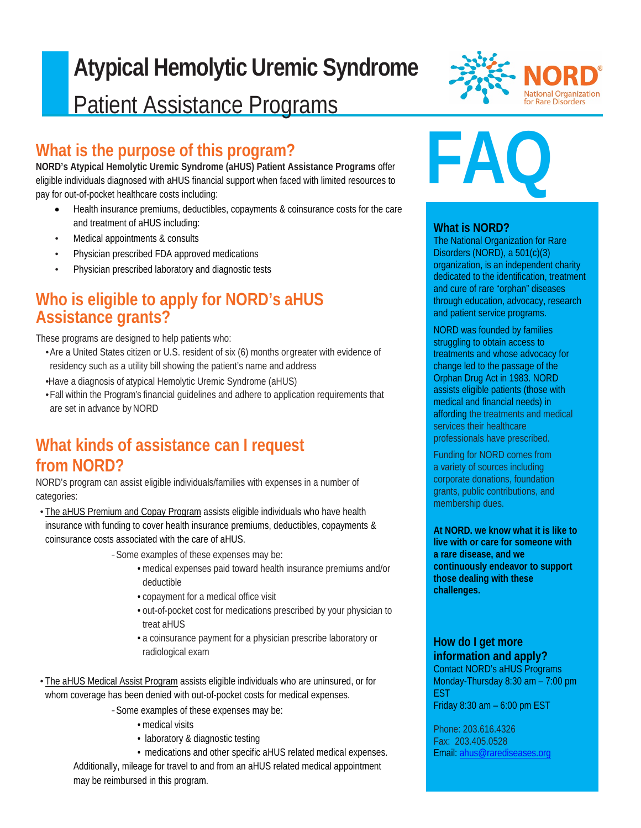# $\overline{a}$ **Atypical Hemolytic Uremic Syndrome** Patient Assistance Programs

### **What is the purpose of this program?**

**NORD's Atypical Hemolytic Uremic Syndrome (aHUS) Patient Assistance Programs** offer eligible individuals diagnosed with aHUS financial support when faced with limited resources to pay for out-of-pocket healthcare costs including:

- Health insurance premiums, deductibles, copayments & coinsurance costs for the care and treatment of aHUS including:
- Medical appointments & consults
- Physician prescribed FDA approved medications
- Physician prescribed laboratory and diagnostic tests

### **Who is eligible to apply for NORD's aHUS Assistance grants?**

These programs are designed to help patients who:

•Are a United States citizen or U.S. resident of six (6) months orgreater with evidence of residency such as a utility bill showing the patient's name and address

•Have a diagnosis of atypical Hemolytic Uremic Syndrome (aHUS)

•Fall within the Program's financial guidelines and adhere to application requirements that are set in advance by NORD

### **What kinds of assistance can I request from NORD?**

NORD's program can assist eligible individuals/families with expenses in a number of categories:

• The aHUS Premium and Copay Program assists eligible individuals who have health insurance with funding to cover health insurance premiums, deductibles, copayments & coinsurance costs associated with the care of aHUS.

*-*Some examples of these expenses may be:

- medical expenses paid toward health insurance premiums and/or deductible
- copayment for a medical office visit
- out-of-pocket cost for medications prescribed by your physician to treat aHUS
- a coinsurance payment for a physician prescribe laboratory or radiological exam
- The aHUS Medical Assist Program assists eligible individuals who are uninsured, or for whom coverage has been denied with out-of-pocket costs for medical expenses.

*-*Some examples of these expenses may be:

- medical visits
- laboratory & diagnostic testing
- medications and other specific aHUS related medical expenses.

Additionally, mileage for travel to and from an aHUS related medical appointment may be reimbursed in this program.



#### **What is NORD?**

The National Organization for Rare Disorders (NORD), a 501(c)(3) organization, is an independent charity dedicated to the identification, treatment and cure of rare "orphan" diseases through education, advocacy, research and patient service programs.

NORD was founded by families struggling to obtain access to treatments and whose advocacy for change led to the passage of the Orphan Drug Act in 1983. NORD assists eligible patients (those with medical and financial needs) in affording the treatments and medical services their healthcare professionals have prescribed.

Funding for NORD comes from a variety of sources including corporate donations, foundation grants, public contributions, and membership dues.

**At NORD. we know what it is like to live with or care for someone with a rare disease, and we continuously endeavor to support those dealing with these challenges.**

#### **How do I get more information and apply?**

Contact NORD's aHUS Programs Monday-Thursday 8:30 am – 7:00 pm EST Friday 8:30 am – 6:00 pm EST

Phone: 203.616.4326 Fax: 203.405.0528 Email: [ahus@rarediseases.org](mailto:ahus@rarediseases.org)